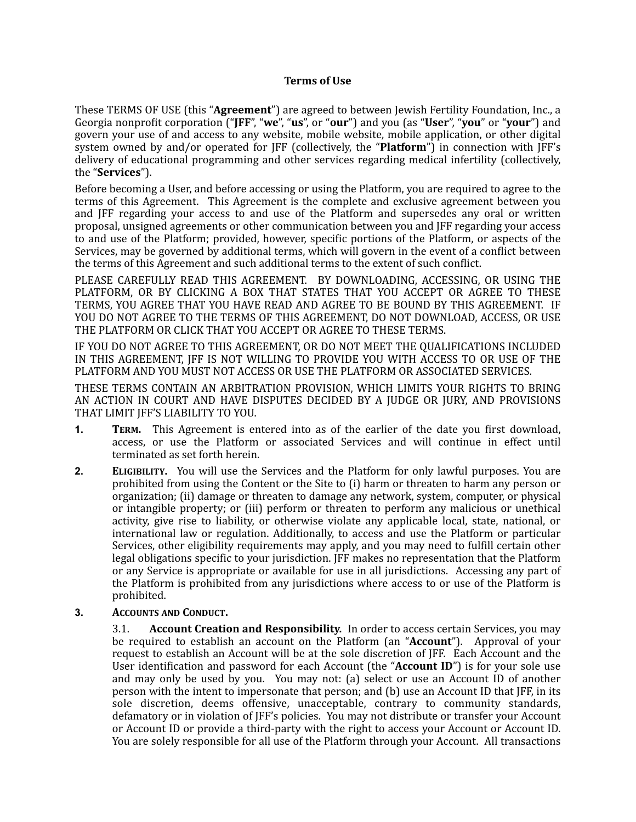## **Terms of Use**

These TERMS OF USE (this "**Agreement**") are agreed to between Jewish Fertility Foundation, Inc., a Georgia nonprofit corporation ("**JFF**", "we", "us", or "our") and you (as "User", "you" or "your") and govern your use of and access to any website, mobile website, mobile application, or other digital system owned by and/or operated for JFF (collectively, the "**Platform**") in connection with JFF's delivery of educational programming and other services regarding medical infertility (collectively, the "**Services**").

Before becoming a User, and before accessing or using the Platform, you are required to agree to the terms of this Agreement. This Agreement is the complete and exclusive agreement between you and IFF regarding your access to and use of the Platform and supersedes any oral or written proposal, unsigned agreements or other communication between you and IFF regarding your access to and use of the Platform; provided, however, specific portions of the Platform, or aspects of the Services, may be governed by additional terms, which will govern in the event of a conflict between the terms of this Agreement and such additional terms to the extent of such conflict.

PLEASE CAREFULLY READ THIS AGREEMENT. BY DOWNLOADING, ACCESSING, OR USING THE PLATFORM, OR BY CLICKING A BOX THAT STATES THAT YOU ACCEPT OR AGREE TO THESE TERMS, YOU AGREE THAT YOU HAVE READ AND AGREE TO BE BOUND BY THIS AGREEMENT. IF YOU DO NOT AGREE TO THE TERMS OF THIS AGREEMENT, DO NOT DOWNLOAD, ACCESS, OR USE THE PLATFORM OR CLICK THAT YOU ACCEPT OR AGREE TO THESE TERMS.

IF YOU DO NOT AGREE TO THIS AGREEMENT, OR DO NOT MEET THE QUALIFICATIONS INCLUDED IN THIS AGREEMENT, JFF IS NOT WILLING TO PROVIDE YOU WITH ACCESS TO OR USE OF THE PLATFORM AND YOU MUST NOT ACCESS OR USE THE PLATFORM OR ASSOCIATED SERVICES.

THESE TERMS CONTAIN AN ARBITRATION PROVISION, WHICH LIMITS YOUR RIGHTS TO BRING AN ACTION IN COURT AND HAVE DISPUTES DECIDED BY A JUDGE OR JURY, AND PROVISIONS THAT LIMIT IFF'S LIABILITY TO YOU.

- **1. TERM.** This Agreement is entered into as of the earlier of the date you first download, access, or use the Platform or associated Services and will continue in effect until terminated as set forth herein.
- **2. ELIGIBILITY.** You will use the Services and the Platform for only lawful purposes. You are prohibited from using the Content or the Site to (i) harm or threaten to harm any person or organization; (ii) damage or threaten to damage any network, system, computer, or physical or intangible property; or (iii) perform or threaten to perform any malicious or unethical activity, give rise to liability, or otherwise violate any applicable local, state, national, or international law or regulation. Additionally, to access and use the Platform or particular Services, other eligibility requirements may apply, and you may need to fulfill certain other legal obligations specific to your jurisdiction. [FF makes no representation that the Platform or any Service is appropriate or available for use in all jurisdictions. Accessing any part of the Platform is prohibited from any jurisdictions where access to or use of the Platform is prohibited.
- **3. ACCOUNTS AND CONDUCT.**

**3.1. Account Creation and Responsibility.** In order to access certain Services, you may be required to establish an account on the Platform (an "**Account**"). Approval of your request to establish an Account will be at the sole discretion of JFF. Each Account and the User identification and password for each Account (the "**Account ID**") is for your sole use and may only be used by you. You may not: (a) select or use an Account ID of another person with the intent to impersonate that person; and (b) use an Account ID that JFF, in its sole discretion, deems offensive, unacceptable, contrary to community standards, defamatory or in violation of [FF's policies. You may not distribute or transfer your Account or Account ID or provide a third-party with the right to access your Account or Account ID. You are solely responsible for all use of the Platform through your Account. All transactions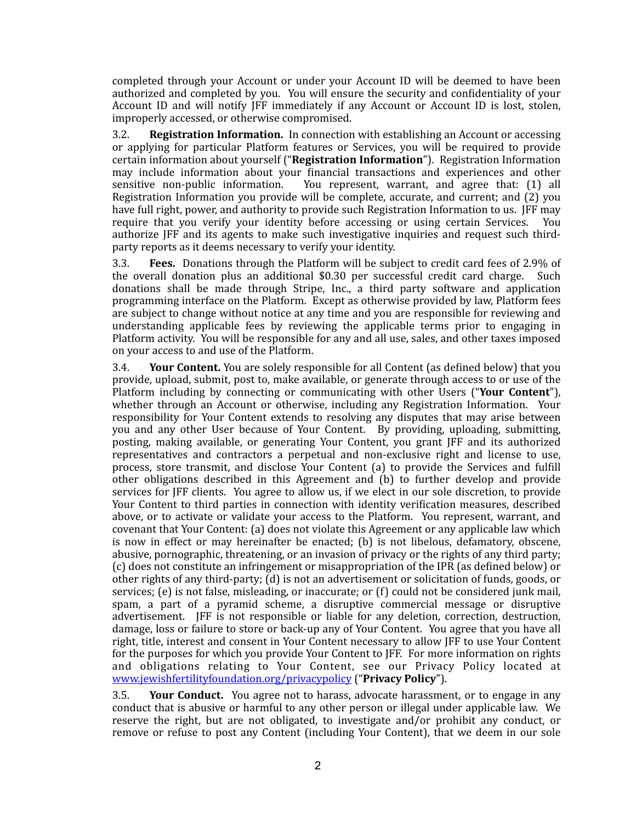completed through your Account or under your Account ID will be deemed to have been authorized and completed by you. You will ensure the security and confidentiality of your Account ID and will notify JFF immediately if any Account or Account ID is lost, stolen, improperly accessed, or otherwise compromised.

**3.2. Registration Information.** In connection with establishing an Account or accessing or applying for particular Platform features or Services, you will be required to provide certain information about yourself ("Registration Information"). Registration Information may include information about your financial transactions and experiences and other sensitive non-public information. You represent, warrant, and agree that:  $(1)$  all Registration Information you provide will be complete, accurate, and current; and (2) vou have full right, power, and authority to provide such Registration Information to us. IFF may require that you verify your identity before accessing or using certain Services. You authorize IFF and its agents to make such investigative inquiries and request such thirdparty reports as it deems necessary to verify your identity.

3.3. **Fees.** Donations through the Platform will be subject to credit card fees of 2.9% of the overall donation plus an additional  $$0.30$  per successful credit card charge. Such donations shall be made through Stripe, Inc., a third party software and application programming interface on the Platform. Except as otherwise provided by law, Platform fees are subject to change without notice at any time and you are responsible for reviewing and understanding applicable fees by reviewing the applicable terms prior to engaging in Platform activity. You will be responsible for any and all use, sales, and other taxes imposed on your access to and use of the Platform.

**3.4. Your Content.** You are solely responsible for all Content (as defined below) that you provide, upload, submit, post to, make available, or generate through access to or use of the Platform including by connecting or communicating with other Users ("Your Content"), whether through an Account or otherwise, including any Registration Information. Your responsibility for Your Content extends to resolving any disputes that may arise between you and any other User because of Your Content. By providing, uploading, submitting, posting, making available, or generating Your Content, you grant JFF and its authorized representatives and contractors a perpetual and non-exclusive right and license to use, process, store transmit, and disclose Your Content (a) to provide the Services and fulfill other obligations described in this Agreement and (b) to further develop and provide services for JFF clients. You agree to allow us, if we elect in our sole discretion, to provide Your Content to third parties in connection with identity verification measures, described above, or to activate or validate your access to the Platform. You represent, warrant, and covenant that Your Content: (a) does not violate this Agreement or any applicable law which is now in effect or may hereinafter be enacted;  $(b)$  is not libelous, defamatory, obscene, abusive, pornographic, threatening, or an invasion of privacy or the rights of any third party; (c) does not constitute an infringement or misappropriation of the IPR (as defined below) or other rights of any third-party; (d) is not an advertisement or solicitation of funds, goods, or services; (e) is not false, misleading, or inaccurate; or  $(f)$  could not be considered junk mail, spam, a part of a pyramid scheme, a disruptive commercial message or disruptive advertisement. [FF is not responsible or liable for any deletion, correction, destruction, damage, loss or failure to store or back-up any of Your Content. You agree that you have all right, title, interest and consent in Your Content necessary to allow JFF to use Your Content for the purposes for which you provide Your Content to JFF. For more information on rights and obligations relating to Your Content, see our Privacy Policy located at [www.jewishfertilityfoundation.org/privacypolicy](http://www.jewishfertilityfoundation.org/privacypolicy) ("**Privacy Policy**").

**3.5. Your Conduct.** You agree not to harass, advocate harassment, or to engage in any conduct that is abusive or harmful to any other person or illegal under applicable law. We reserve the right, but are not obligated, to investigate and/or prohibit any conduct, or remove or refuse to post any Content (including Your Content), that we deem in our sole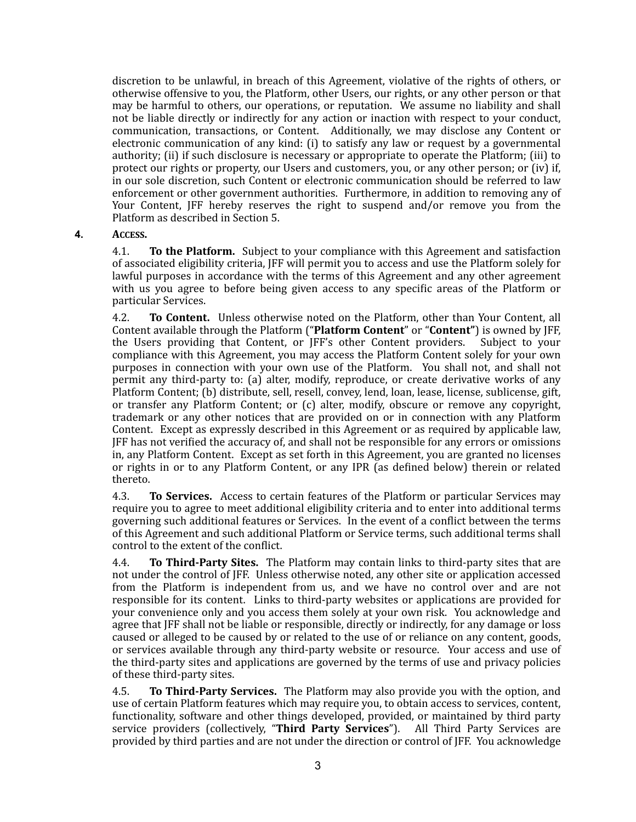discretion to be unlawful, in breach of this Agreement, violative of the rights of others, or otherwise offensive to you, the Platform, other Users, our rights, or any other person or that may be harmful to others, our operations, or reputation. We assume no liability and shall not be liable directly or indirectly for any action or inaction with respect to your conduct, communication, transactions, or Content. Additionally, we may disclose any Content or electronic communication of any kind:  $(i)$  to satisfy any law or request by a governmental authority; (ii) if such disclosure is necessary or appropriate to operate the Platform; (iii) to protect our rights or property, our Users and customers, you, or any other person; or (iv) if, in our sole discretion, such Content or electronic communication should be referred to law enforcement or other government authorities. Furthermore, in addition to removing any of Your Content, JFF hereby reserves the right to suspend and/or remove you from the Platform as described in Section 5.

## **4. ACCESS.**

4.1. **To the Platform.** Subject to your compliance with this Agreement and satisfaction of associated eligibility criteria, IFF will permit you to access and use the Platform solely for lawful purposes in accordance with the terms of this Agreement and any other agreement with us you agree to before being given access to any specific areas of the Platform or particular Services. 

4.2. **To Content.** Unless otherwise noted on the Platform, other than Your Content, all Content available through the Platform ("Platform Content" or "Content") is owned by JFF, the Users providing that Content, or JFF's other Content providers. Subject to your compliance with this Agreement, you may access the Platform Content solely for your own purposes in connection with your own use of the Platform. You shall not, and shall not permit any third-party to: (a) alter, modify, reproduce, or create derivative works of any Platform Content; (b) distribute, sell, resell, convey, lend, loan, lease, license, sublicense, gift, or transfer any Platform Content; or (c) alter, modify, obscure or remove any copyright, trademark or any other notices that are provided on or in connection with any Platform Content. Except as expressly described in this Agreement or as required by applicable law, JFF has not verified the accuracy of, and shall not be responsible for any errors or omissions in, any Platform Content. Except as set forth in this Agreement, you are granted no licenses or rights in or to any Platform Content, or any IPR (as defined below) therein or related thereto. 

4.3. **To Services.** Access to certain features of the Platform or particular Services may require you to agree to meet additional eligibility criteria and to enter into additional terms governing such additional features or Services. In the event of a conflict between the terms of this Agreement and such additional Platform or Service terms, such additional terms shall control to the extent of the conflict.

4.4. **To Third-Party Sites.** The Platform may contain links to third-party sites that are not under the control of JFF. Unless otherwise noted, any other site or application accessed from the Platform is independent from us, and we have no control over and are not responsible for its content. Links to third-party websites or applications are provided for your convenience only and you access them solely at your own risk. You acknowledge and agree that IFF shall not be liable or responsible, directly or indirectly, for any damage or loss caused or alleged to be caused by or related to the use of or reliance on any content, goods, or services available through any third-party website or resource. Your access and use of the third-party sites and applications are governed by the terms of use and privacy policies of these third-party sites.

4.5. **To Third-Party Services.** The Platform may also provide you with the option, and use of certain Platform features which may require you, to obtain access to services, content, functionality, software and other things developed, provided, or maintained by third party service providers (collectively, "Third Party Services"). All Third Party Services are provided by third parties and are not under the direction or control of JFF. You acknowledge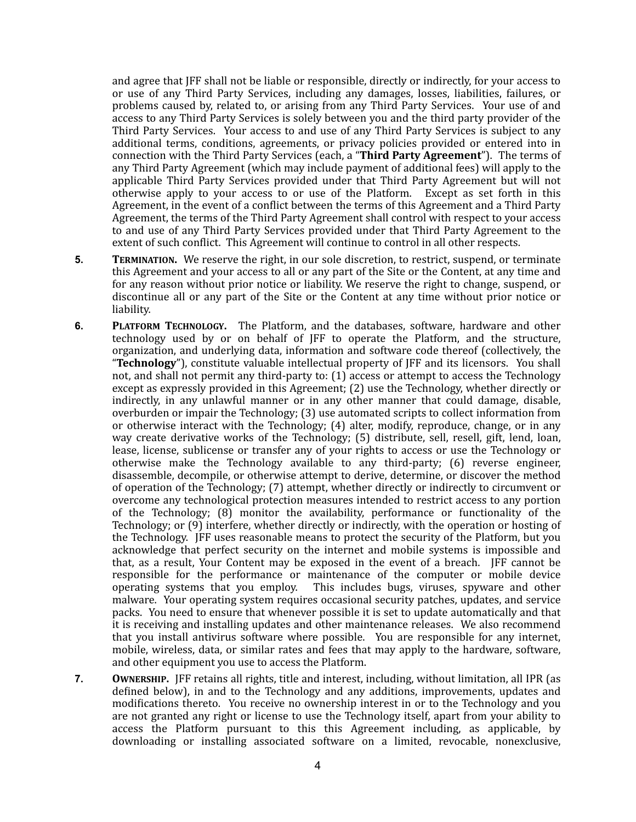and agree that JFF shall not be liable or responsible, directly or indirectly, for your access to or use of any Third Party Services, including any damages, losses, liabilities, failures, or problems caused by, related to, or arising from any Third Party Services. Your use of and access to any Third Party Services is solely between you and the third party provider of the Third Party Services. Your access to and use of any Third Party Services is subject to any additional terms, conditions, agreements, or privacy policies provided or entered into in connection with the Third Party Services (each, a "Third Party Agreement"). The terms of any Third Party Agreement (which may include payment of additional fees) will apply to the applicable Third Party Services provided under that Third Party Agreement but will not otherwise apply to your access to or use of the Platform. Except as set forth in this Agreement, in the event of a conflict between the terms of this Agreement and a Third Party Agreement, the terms of the Third Party Agreement shall control with respect to your access to and use of any Third Party Services provided under that Third Party Agreement to the extent of such conflict. This Agreement will continue to control in all other respects.

- **5. TERMINATION.** We reserve the right, in our sole discretion, to restrict, suspend, or terminate this Agreement and your access to all or any part of the Site or the Content, at any time and for any reason without prior notice or liability. We reserve the right to change, suspend, or discontinue all or any part of the Site or the Content at any time without prior notice or liability.
- **6. PLATFORM TECHNOLOGY.** The Platform, and the databases, software, hardware and other technology used by or on behalf of IFF to operate the Platform, and the structure, organization, and underlying data, information and software code thereof (collectively, the "Technology"), constitute valuable intellectual property of JFF and its licensors. You shall not, and shall not permit any third-party to:  $(1)$  access or attempt to access the Technology except as expressly provided in this Agreement; (2) use the Technology, whether directly or indirectly, in any unlawful manner or in any other manner that could damage, disable, overburden or impair the Technology; (3) use automated scripts to collect information from or otherwise interact with the Technology; (4) alter, modify, reproduce, change, or in any way create derivative works of the Technology; (5) distribute, sell, resell, gift, lend, loan, lease, license, sublicense or transfer any of your rights to access or use the Technology or otherwise make the Technology available to any third-party;  $(6)$  reverse engineer, disassemble, decompile, or otherwise attempt to derive, determine, or discover the method of operation of the Technology; (7) attempt, whether directly or indirectly to circumvent or overcome any technological protection measures intended to restrict access to any portion of the Technology;  $(8)$  monitor the availability, performance or functionality of the Technology; or  $(9)$  interfere, whether directly or indirectly, with the operation or hosting of the Technology. JFF uses reasonable means to protect the security of the Platform, but vou acknowledge that perfect security on the internet and mobile systems is impossible and that, as a result, Your Content may be exposed in the event of a breach. IFF cannot be responsible for the performance or maintenance of the computer or mobile device operating systems that you employ. This includes bugs, viruses, spyware and other malware. Your operating system requires occasional security patches, updates, and service packs. You need to ensure that whenever possible it is set to update automatically and that it is receiving and installing updates and other maintenance releases. We also recommend that you install antivirus software where possible. You are responsible for any internet, mobile, wireless, data, or similar rates and fees that may apply to the hardware, software, and other equipment you use to access the Platform.
- **7. OWNERSHIP.** [FF retains all rights, title and interest, including, without limitation, all IPR (as defined below), in and to the Technology and any additions, improvements, updates and modifications thereto. You receive no ownership interest in or to the Technology and you are not granted any right or license to use the Technology itself, apart from your ability to access the Platform pursuant to this this Agreement including, as applicable, by downloading or installing associated software on a limited, revocable, nonexclusive,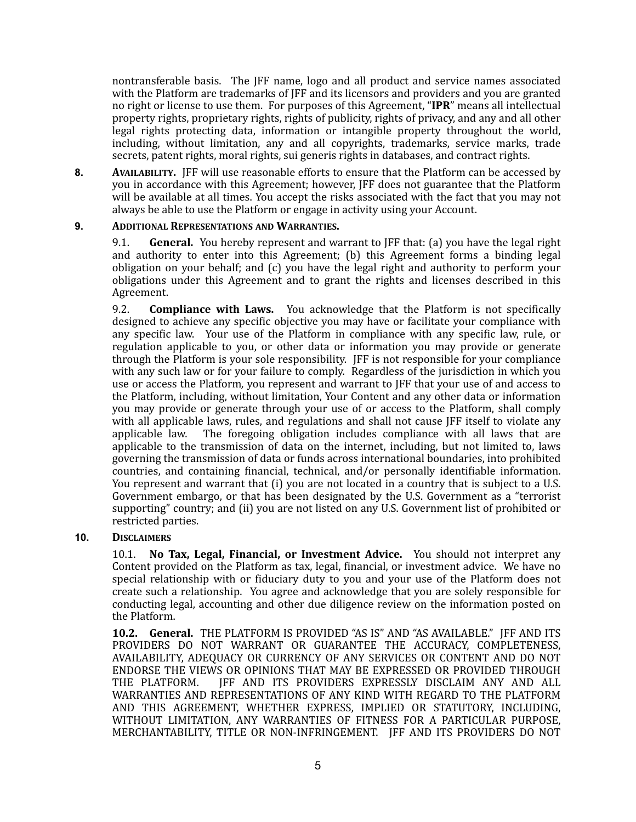nontransferable basis. The JFF name, logo and all product and service names associated with the Platform are trademarks of JFF and its licensors and providers and you are granted no right or license to use them. For purposes of this Agreement, "IPR" means all intellectual property rights, proprietary rights, rights of publicity, rights of privacy, and any and all other legal rights protecting data, information or intangible property throughout the world, including, without limitation, any and all copyrights, trademarks, service marks, trade secrets, patent rights, moral rights, sui generis rights in databases, and contract rights.

**8. AVAILABILITY.** [FF will use reasonable efforts to ensure that the Platform can be accessed by you in accordance with this Agreement; however, JFF does not guarantee that the Platform will be available at all times. You accept the risks associated with the fact that you may not always be able to use the Platform or engage in activity using your Account.

## **9. ADDITIONAL REPRESENTATIONS AND WARRANTIES.**

9.1. **General.** You hereby represent and warrant to JFF that: (a) you have the legal right and authority to enter into this Agreement; (b) this Agreement forms a binding legal obligation on your behalf; and (c) you have the legal right and authority to perform your obligations under this Agreement and to grant the rights and licenses described in this Agreement. 

9.2. **Compliance with Laws.** You acknowledge that the Platform is not specifically designed to achieve any specific objective you may have or facilitate your compliance with any specific law. Your use of the Platform in compliance with any specific law, rule, or regulation applicable to you, or other data or information you may provide or generate through the Platform is your sole responsibility. IFF is not responsible for your compliance with any such law or for your failure to comply. Regardless of the jurisdiction in which you use or access the Platform, you represent and warrant to JFF that your use of and access to the Platform, including, without limitation, Your Content and any other data or information you may provide or generate through your use of or access to the Platform, shall comply with all applicable laws, rules, and regulations and shall not cause JFF itself to violate any applicable law. The foregoing obligation includes compliance with all laws that are applicable to the transmission of data on the internet, including, but not limited to, laws governing the transmission of data or funds across international boundaries, into prohibited countries, and containing financial, technical, and/or personally identifiable information. You represent and warrant that (i) you are not located in a country that is subject to a U.S. Government embargo, or that has been designated by the U.S. Government as a "terrorist supporting" country; and (ii) you are not listed on any U.S. Government list of prohibited or restricted parties.

## **10. DISCLAIMERS**

10.1. **No Tax, Legal, Financial, or Investment Advice.** You should not interpret any Content provided on the Platform as tax, legal, financial, or investment advice. We have no special relationship with or fiduciary duty to you and your use of the Platform does not create such a relationship. You agree and acknowledge that you are solely responsible for conducting legal, accounting and other due diligence review on the information posted on the Platform.

**10.2. General.** THE PLATFORM IS PROVIDED "AS IS" AND "AS AVAILABLE." IFF AND ITS PROVIDERS DO NOT WARRANT OR GUARANTEE THE ACCURACY, COMPLETENESS, AVAILABILITY, ADEQUACY OR CURRENCY OF ANY SERVICES OR CONTENT AND DO NOT ENDORSE THE VIEWS OR OPINIONS THAT MAY BE EXPRESSED OR PROVIDED THROUGH THE PLATFORM. IFF AND ITS PROVIDERS EXPRESSLY DISCLAIM ANY AND ALL WARRANTIES AND REPRESENTATIONS OF ANY KIND WITH REGARD TO THE PLATFORM AND THIS AGREEMENT, WHETHER EXPRESS, IMPLIED OR STATUTORY, INCLUDING, WITHOUT LIMITATION, ANY WARRANTIES OF FITNESS FOR A PARTICULAR PURPOSE, MERCHANTABILITY, TITLE OR NON-INFRINGEMENT. JFF AND ITS PROVIDERS DO NOT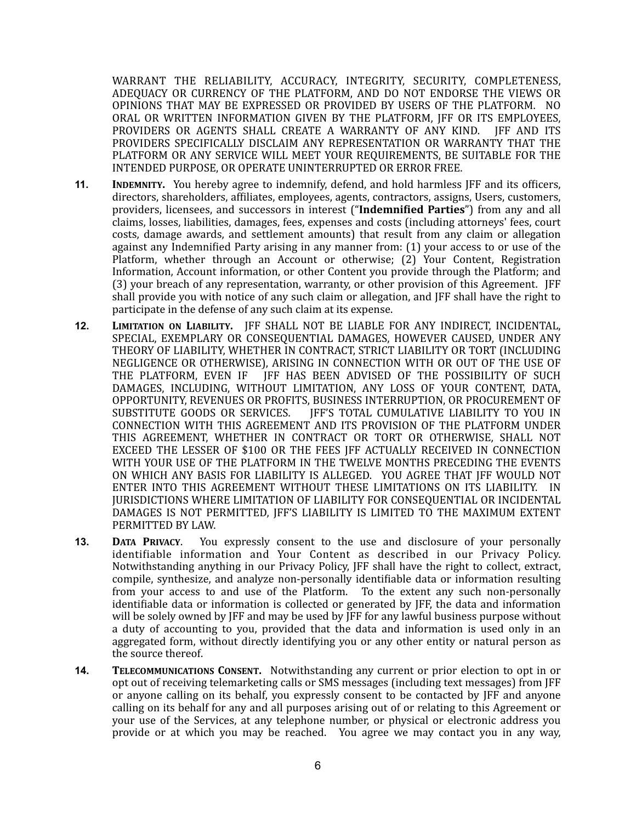WARRANT THE RELIABILITY, ACCURACY, INTEGRITY, SECURITY, COMPLETENESS, ADEQUACY OR CURRENCY OF THE PLATFORM, AND DO NOT ENDORSE THE VIEWS OR OPINIONS THAT MAY BE EXPRESSED OR PROVIDED BY USERS OF THE PLATFORM. NO ORAL OR WRITTEN INFORMATION GIVEN BY THE PLATFORM, JFF OR ITS EMPLOYEES, PROVIDERS OR AGENTS SHALL CREATE A WARRANTY OF ANY KIND. JFF AND ITS PROVIDERS SPECIFICALLY DISCLAIM ANY REPRESENTATION OR WARRANTY THAT THE PLATFORM OR ANY SERVICE WILL MEET YOUR REQUIREMENTS, BE SUITABLE FOR THE INTENDED PURPOSE, OR OPERATE UNINTERRUPTED OR ERROR FREE.

- **11. INDEMNITY.** You hereby agree to indemnify, defend, and hold harmless JFF and its officers, directors, shareholders, affiliates, employees, agents, contractors, assigns, Users, customers, providers, licensees, and successors in interest ("Indemnified Parties") from any and all claims, losses, liabilities, damages, fees, expenses and costs (including attorneys' fees, court costs, damage awards, and settlement amounts) that result from any claim or allegation against any Indemnified Party arising in any manner from: (1) your access to or use of the Platform, whether through an Account or otherwise; (2) Your Content, Registration Information, Account information, or other Content you provide through the Platform; and (3) your breach of any representation, warranty, or other provision of this Agreement. [FF] shall provide you with notice of any such claim or allegation, and JFF shall have the right to participate in the defense of any such claim at its expense.
- **12. LIMITATION ON LIABILITY.** IFF SHALL NOT BE LIABLE FOR ANY INDIRECT, INCIDENTAL, SPECIAL, EXEMPLARY OR CONSEOUENTIAL DAMAGES, HOWEVER CAUSED, UNDER ANY THEORY OF LIABILITY, WHETHER IN CONTRACT, STRICT LIABILITY OR TORT (INCLUDING NEGLIGENCE OR OTHERWISE), ARISING IN CONNECTION WITH OR OUT OF THE USE OF THE PLATFORM, EVEN IF IFF HAS BEEN ADVISED OF THE POSSIBILITY OF SUCH DAMAGES, INCLUDING, WITHOUT LIMITATION, ANY LOSS OF YOUR CONTENT, DATA, OPPORTUNITY, REVENUES OR PROFITS, BUSINESS INTERRUPTION, OR PROCUREMENT OF<br>SUBSTITUTE GOODS OR SERVICES. IFF'S TOTAL CUMULATIVE LIABILITY TO YOU IN IFF'S TOTAL CUMULATIVE LIABILITY TO YOU IN CONNECTION WITH THIS AGREEMENT AND ITS PROVISION OF THE PLATFORM UNDER THIS AGREEMENT, WHETHER IN CONTRACT OR TORT OR OTHERWISE, SHALL NOT EXCEED THE LESSER OF \$100 OR THE FEES JFF ACTUALLY RECEIVED IN CONNECTION WITH YOUR USE OF THE PLATFORM IN THE TWELVE MONTHS PRECEDING THE EVENTS ON WHICH ANY BASIS FOR LIABILITY IS ALLEGED. YOU AGREE THAT JFF WOULD NOT ENTER INTO THIS AGREEMENT WITHOUT THESE LIMITATIONS ON ITS LIABILITY. IN **JURISDICTIONS WHERE LIMITATION OF LIABILITY FOR CONSEQUENTIAL OR INCIDENTAL** DAMAGES IS NOT PERMITTED, IFF'S LIABILITY IS LIMITED TO THE MAXIMUM EXTENT PERMITTED BY LAW.
- **13. DATA PRIVACY.** You expressly consent to the use and disclosure of your personally identifiable information and Your Content as described in our Privacy Policy. Notwithstanding anything in our Privacy Policy, IFF shall have the right to collect, extract, compile, synthesize, and analyze non-personally identifiable data or information resulting from your access to and use of the Platform. To the extent any such non-personally identifiable data or information is collected or generated by JFF, the data and information will be solely owned by JFF and may be used by JFF for any lawful business purpose without a duty of accounting to you, provided that the data and information is used only in an aggregated form, without directly identifying you or any other entity or natural person as the source thereof.
- **14. TELECOMMUNICATIONS CONSENT.** Notwithstanding any current or prior election to opt in or opt out of receiving telemarketing calls or SMS messages (including text messages) from [FF] or anyone calling on its behalf, you expressly consent to be contacted by JFF and anyone calling on its behalf for any and all purposes arising out of or relating to this Agreement or your use of the Services, at any telephone number, or physical or electronic address you provide or at which you may be reached. You agree we may contact you in any way,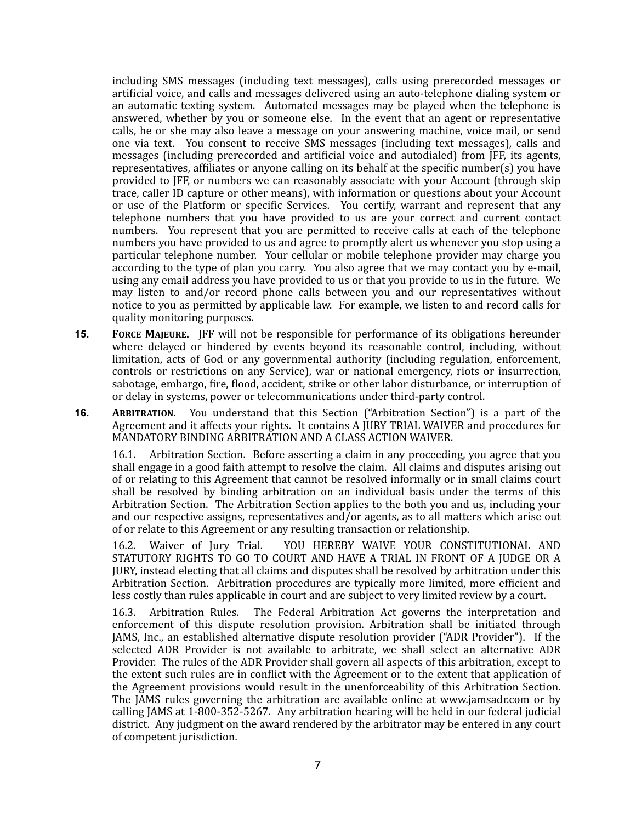including SMS messages (including text messages), calls using prerecorded messages or artificial voice, and calls and messages delivered using an auto-telephone dialing system or an automatic texting system. Automated messages may be played when the telephone is answered, whether by you or someone else. In the event that an agent or representative calls, he or she may also leave a message on your answering machine, voice mail, or send one via text. You consent to receive SMS messages (including text messages), calls and messages (including prerecorded and artificial voice and autodialed) from JFF, its agents, representatives, affiliates or anyone calling on its behalf at the specific number(s) you have provided to JFF, or numbers we can reasonably associate with your Account (through skip trace, caller ID capture or other means), with information or questions about your Account or use of the Platform or specific Services. You certify, warrant and represent that any telephone numbers that you have provided to us are your correct and current contact numbers. You represent that you are permitted to receive calls at each of the telephone numbers you have provided to us and agree to promptly alert us whenever you stop using a particular telephone number. Your cellular or mobile telephone provider may charge you according to the type of plan you carry. You also agree that we may contact you by e-mail, using any email address you have provided to us or that you provide to us in the future. We may listen to and/or record phone calls between you and our representatives without notice to you as permitted by applicable law. For example, we listen to and record calls for quality monitoring purposes.

- **15. FORCE MAJEURE.** IFF will not be responsible for performance of its obligations hereunder where delayed or hindered by events beyond its reasonable control, including, without limitation, acts of God or any governmental authority (including regulation, enforcement, controls or restrictions on any Service), war or national emergency, riots or insurrection, sabotage, embargo, fire, flood, accident, strike or other labor disturbance, or interruption of or delay in systems, power or telecommunications under third-party control.
- **16. ARBITRATION.** You understand that this Section ("Arbitration Section") is a part of the Agreement and it affects your rights. It contains A JURY TRIAL WAIVER and procedures for MANDATORY BINDING ARBITRATION AND A CLASS ACTION WAIVER.

16.1. Arbitration Section. Before asserting a claim in any proceeding, you agree that you shall engage in a good faith attempt to resolve the claim. All claims and disputes arising out of or relating to this Agreement that cannot be resolved informally or in small claims court shall be resolved by binding arbitration on an individual basis under the terms of this Arbitration Section. The Arbitration Section applies to the both you and us, including your and our respective assigns, representatives and/or agents, as to all matters which arise out of or relate to this Agreement or any resulting transaction or relationship.

16.2. Waiver of Jury Trial. YOU HEREBY WAIVE YOUR CONSTITUTIONAL AND STATUTORY RIGHTS TO GO TO COURT AND HAVE A TRIAL IN FRONT OF A JUDGE OR A JURY, instead electing that all claims and disputes shall be resolved by arbitration under this Arbitration Section. Arbitration procedures are typically more limited, more efficient and less costly than rules applicable in court and are subject to very limited review by a court.

16.3. Arbitration Rules. The Federal Arbitration Act governs the interpretation and enforcement of this dispute resolution provision. Arbitration shall be initiated through JAMS, Inc., an established alternative dispute resolution provider ("ADR Provider"). If the selected ADR Provider is not available to arbitrate, we shall select an alternative ADR Provider. The rules of the ADR Provider shall govern all aspects of this arbitration, except to the extent such rules are in conflict with the Agreement or to the extent that application of the Agreement provisions would result in the unenforceability of this Arbitration Section. The JAMS rules governing the arbitration are available online at www.jamsadr.com or by calling JAMS at  $1-800-352-5267$ . Any arbitration hearing will be held in our federal judicial district. Any judgment on the award rendered by the arbitrator may be entered in any court of competent jurisdiction.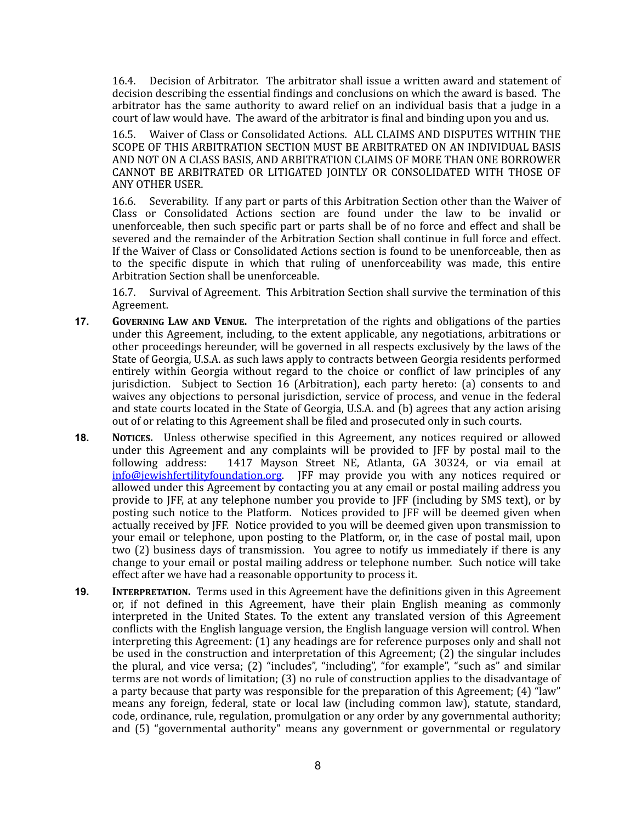16.4. Decision of Arbitrator. The arbitrator shall issue a written award and statement of decision describing the essential findings and conclusions on which the award is based. The arbitrator has the same authority to award relief on an individual basis that a judge in a court of law would have. The award of the arbitrator is final and binding upon you and us.

16.5. Waiver of Class or Consolidated Actions. ALL CLAIMS AND DISPUTES WITHIN THE SCOPE OF THIS ARBITRATION SECTION MUST BE ARBITRATED ON AN INDIVIDUAL BASIS AND NOT ON A CLASS BASIS, AND ARBITRATION CLAIMS OF MORE THAN ONE BORROWER CANNOT BE ARBITRATED OR LITIGATED JOINTLY OR CONSOLIDATED WITH THOSE OF ANY OTHER USER.

16.6. Severability. If any part or parts of this Arbitration Section other than the Waiver of  $Class$  or Consolidated Actions section are found under the law to be invalid or unenforceable, then such specific part or parts shall be of no force and effect and shall be severed and the remainder of the Arbitration Section shall continue in full force and effect. If the Waiver of Class or Consolidated Actions section is found to be unenforceable, then as to the specific dispute in which that ruling of unenforceability was made, this entire Arbitration Section shall be unenforceable.

16.7. Survival of Agreement. This Arbitration Section shall survive the termination of this Agreement.

- **17. GOVERNING LAW AND VENUE.** The interpretation of the rights and obligations of the parties under this Agreement, including, to the extent applicable, any negotiations, arbitrations or other proceedings hereunder, will be governed in all respects exclusively by the laws of the State of Georgia, U.S.A. as such laws apply to contracts between Georgia residents performed entirely within Georgia without regard to the choice or conflict of law principles of any jurisdiction. Subject to Section 16 (Arbitration), each party hereto: (a) consents to and waives any objections to personal jurisdiction, service of process, and venue in the federal and state courts located in the State of Georgia, U.S.A. and (b) agrees that any action arising out of or relating to this Agreement shall be filed and prosecuted only in such courts.
- **18. NOTICES.** Unless otherwise specified in this Agreement, any notices required or allowed under this Agreement and any complaints will be provided to JFF by postal mail to the following address: 1417 Mayson Street NE, Atlanta, GA 30324, or via email at  $info@$  iewish fertility foundation.org. IFF may provide you with any notices required or allowed under this Agreement by contacting you at any email or postal mailing address you provide to JFF, at any telephone number you provide to JFF (including by SMS text), or by posting such notice to the Platform. Notices provided to JFF will be deemed given when actually received by JFF. Notice provided to you will be deemed given upon transmission to your email or telephone, upon posting to the Platform, or, in the case of postal mail, upon two (2) business days of transmission. You agree to notify us immediately if there is any change to your email or postal mailing address or telephone number. Such notice will take effect after we have had a reasonable opportunity to process it.
- **19. INTERPRETATION.** Terms used in this Agreement have the definitions given in this Agreement or, if not defined in this Agreement, have their plain English meaning as commonly interpreted in the United States. To the extent any translated version of this Agreement conflicts with the English language version, the English language version will control. When interpreting this Agreement:  $(1)$  any headings are for reference purposes only and shall not be used in the construction and interpretation of this Agreement;  $(2)$  the singular includes the plural, and vice versa;  $(2)$  "includes", "including", "for example", "such as" and similar terms are not words of limitation; (3) no rule of construction applies to the disadvantage of a party because that party was responsible for the preparation of this Agreement;  $(4)$  "law" means any foreign, federal, state or local law (including common law), statute, standard, code, ordinance, rule, regulation, promulgation or any order by any governmental authority; and (5) "governmental authority" means any government or governmental or regulatory